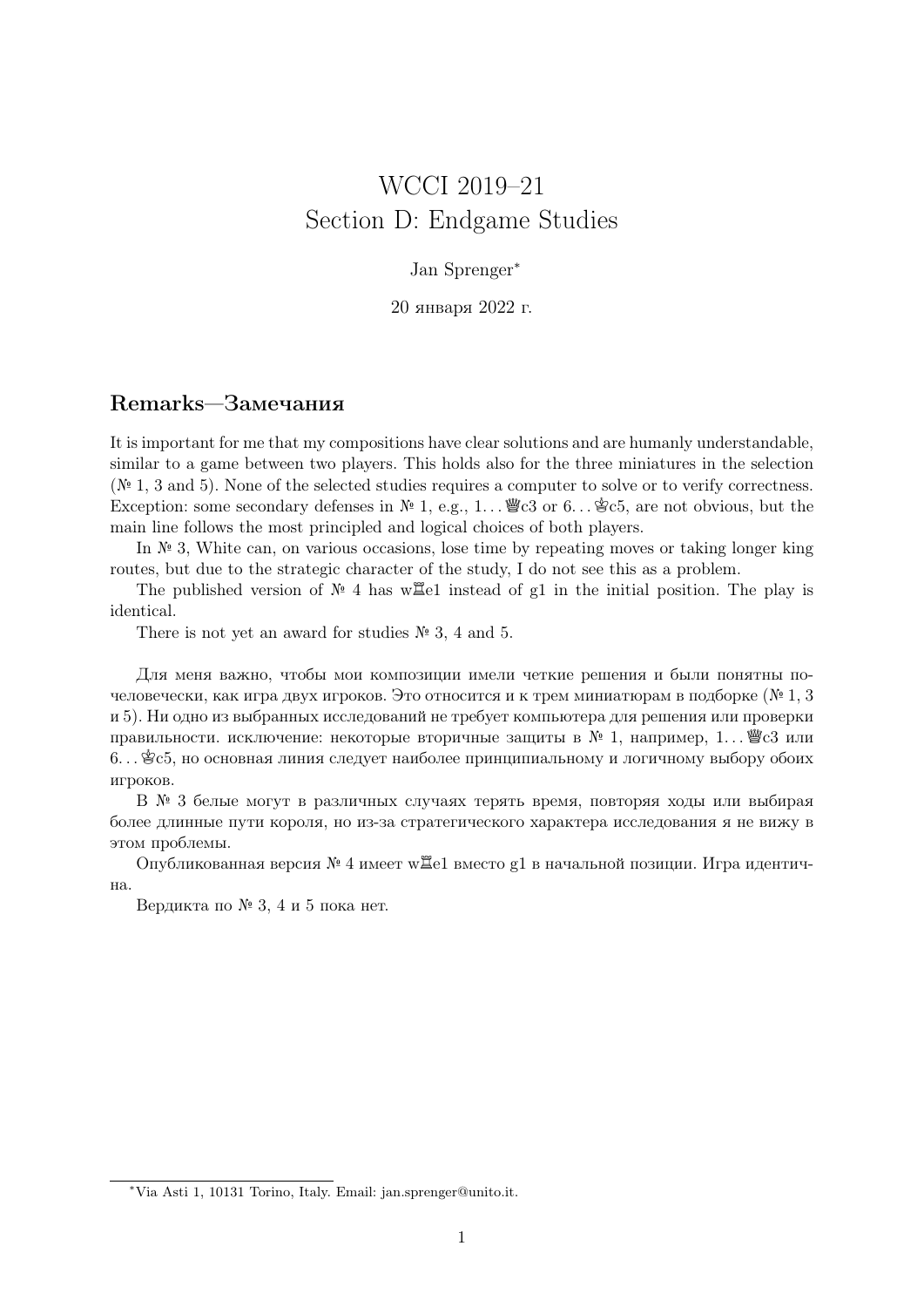# WCCI 2019–21 Section D: Endgame Studies

#### Jan Sprenger<sup>∗</sup>

20 января 2022 г.

# Remarks—Замечания

It is important for me that my compositions have clear solutions and are humanly understandable, similar to a game between two players. This holds also for the three miniatures in the selection  $(N<sup>2</sup> 1, 3, and 5)$ . None of the selected studies requires a computer to solve or to verify correctness. Exception: some secondary defenses in  $\mathbb{N}^2$  1, e.g., 1...  $\mathscr{C}$ c3 or 6...  $\mathscr{C}$ c5, are not obvious, but the main line follows the most principled and logical choices of both players.

In  $\mathbb{N}^2$  3, White can, on various occasions, lose time by repeating moves or taking longer king routes, but due to the strategic character of the study, I do not see this as a problem.

The published version of  $\mathbb{N}^{\circ}$  4 has w $\mathbb{Z}$ el instead of g1 in the initial position. The play is identical.

There is not yet an award for studies  $\mathbb{N}^2$  3, 4 and 5.

Для меня важно, чтобы мои композиции имели четкие решения и были понятны почеловечески, как игра двух игроков. Это относится и к трем миниатюрам в подборке (№ 1, 3 и 5). Ни одно из выбранных исследований не требует компьютера для решения или проверки правильности. исключение: некоторые вторичные защиты в  $\mathbb{N}^{\mathfrak{g}}$  1, например, 1. . .  $\mathscr{W}^{\mathfrak{g}}$ с3 или 6. . . Kc5, но основная линия следует наиболее принципиальному и логичному выбору обоих игроков.

В № 3 белые могут в различных случаях терять время, повторяя ходы или выбирая более длинные пути короля, но из-за стратегического характера исследования я не вижу в этом проблемы.

Опубликованная версия  $\mathbb{N}^{\mathfrak{g}}$  4 имеет w $\Xi$ е1 вместо g1 в начальной позиции. Игра идентична.

Вердикта по № 3, 4 и 5 пока нет.

<sup>∗</sup>Via Asti 1, 10131 Torino, Italy. Email: jan.sprenger@unito.it.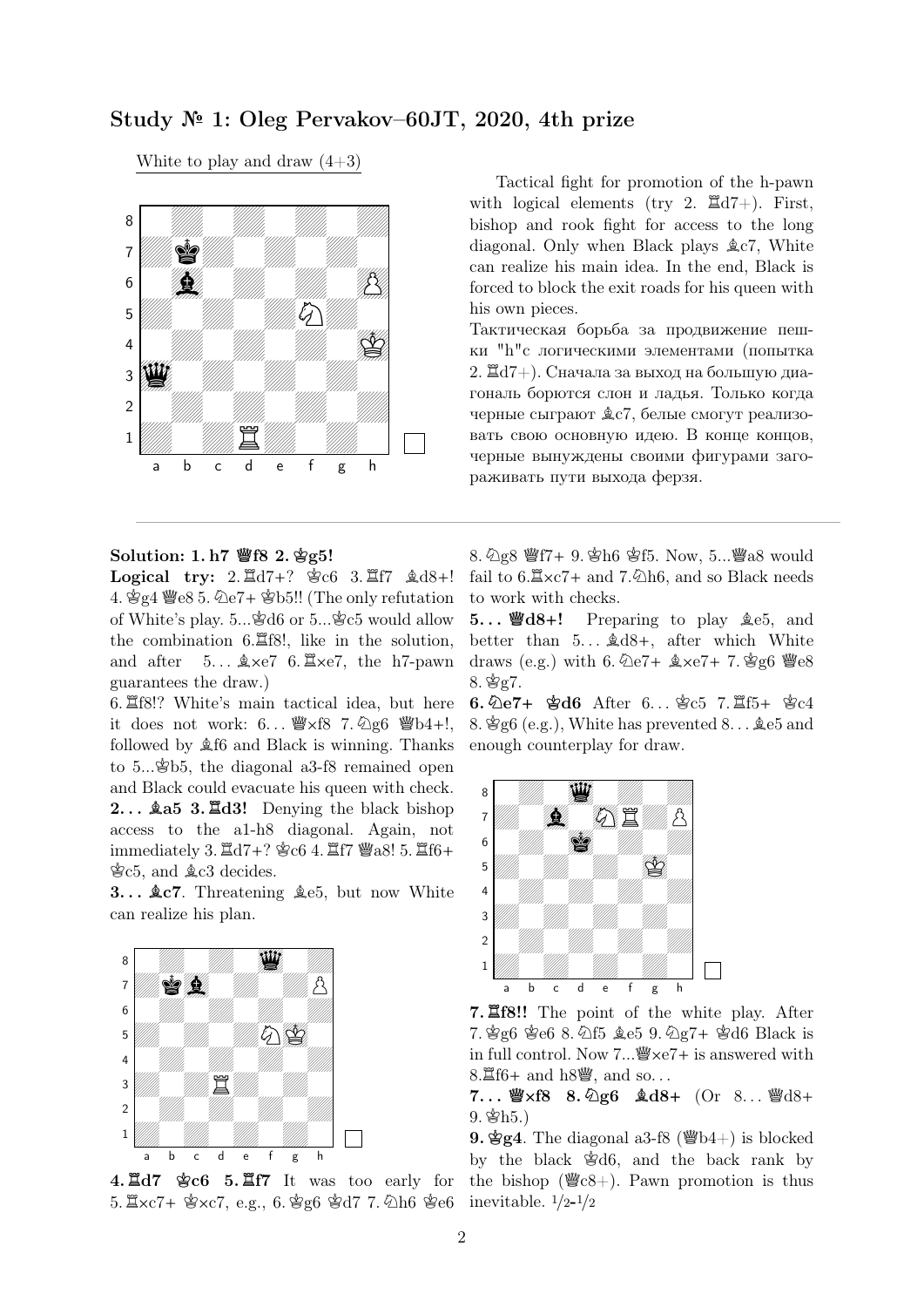## Study № 1: Oleg Pervakov–60JT, 2020, 4th prize

White to play and draw  $(4+3)$ 



Tactical fight for promotion of the h-pawn with logical elements (try 2.  $\mathbb{E} d7+$ ). First, bishop and rook fight for access to the long diagonal. Only when Black plays  $\&c7$ , White can realize his main idea. In the end, Black is forced to block the exit roads for his queen with his own pieces.

Тактическая борьба за продвижение пешки "h"с логическими элементами (попытка 2.  $\mathbb{Z}d7+$ ). Сначала за выход на большую диагональ борются слон и ладья. Только когда черные сыграют  $C$ , белые смогут реализовать свою основную идею. В конце концов, черные вынуждены своими фигурами загораживать пути выхода ферзя.

#### Solution: 1. h7 **Q**f8 2. **K**g5!

Logical try:  $2.\overline{\mathbb{Z}} d7+?$   $\circledast c6$   $3.\overline{\mathbb{Z}} f7 \circledast d8+!$ 4.  $\angle$ g4  $\angle$ e8 5.  $\angle$ e7+  $\angle$ b5!! (The only refutation of White's play.  $5...\overset{\text{*}}{\otimes}66$  or  $5...\overset{\text{*}}{\otimes}65$  would allow the combination  $6.\overline{\mathbb{Z}}68!$ , like in the solution, and after  $5...$   $\× 7$  6.  $\× 7$ , the h7-pawn guarantees the draw.)

6. Rf8!? White's main tactical idea, but here it does not work:  $6...$   $\mathscr{W} \times 6$  7.  $\mathscr{Q} \times 6$   $\mathscr{W} b4+!$ , followed by  $$f6$  and Black is winning. Thanks to  $5...\oplus 5$ , the diagonal a3-f8 remained open and Black could evacuate his queen with check. 2... **ga5 3.**  $\mathbb{Z}$ **d3!** Denying the black bishop access to the a1-h8 diagonal. Again, not immediately 3.  $\mathbb{Z} d7+?$   $\circledast$  c6 4.  $\mathbb{Z} f7$   $\mathbb{Z}$  a8! 5.  $\mathbb{Z} f6+$  $C5$ , and  $C2$  decides.

3...  $\&c7$ . Threatening  $\&e5$ , but now White can realize his plan.



4. **R**d7 **K**c6 5. **R**f7 It was too early for  $5. \angle x$ c7+  $\angle x$ c7, e.g., 6.  $\angle x$ g6  $\angle x$ d7 7.  $\angle \triangle 0$ h6  $\angle x$ e6

8.  $\Diamond$ g8  $\mathscr{C}$ f7+ 9.  $\Diamond$ h6  $\Diamond$ f5. Now, 5... $\mathscr{C}$ a8 would fail to  $6.\Xi \times 7+$  and  $7.\overline{\otimes}$ h6, and so Black needs to work with checks.

5... ||**@d8+!** Preparing to play  $\text{\&e5}$ , and better than  $5... \& d8+$ , after which White draws (e.g.) with 6.  $\&e7+ \&e7+ 7. \&g6 \&e8$  $8.$  \$ $g7.$ 

6. 2e7+ 含d6 After 6... 含c5 7.  $15 + 8c4$ 8.  $\&$  g6 (e.g.), White has prevented 8...  $\&$  e5 and enough counterplay for draw.



7. **R**f8!! The point of the white play. After 7. 曾g6 曾e6 8. 公f5 鱼e5 9. 公g7+ 曾d6 Black is in full control. Now  $7...\mathcal{W} \times 67+$  is answered with  $8.\Xi$ f6+ and h $8\ddot{$ }, and so...

### $7...$   $\frac{10}{3}x^{6} - 8 \cdot \frac{6}{2}6 \cdot \frac{6}{2}d8 + 0$  (Or 8...  $\frac{100}{3}d8 +$  $9.$  \$h5.)

9.  $\angle$ g4. The diagonal a3-f8 ( $\angle$ b4+) is blocked by the black  $\mathcal{L}$  of  $\mathcal{L}$  and the back rank by the bishop ( $\mathscr{C}\in\mathscr{E}_+$ ). Pawn promotion is thus inevitable.  $1/2-1/2$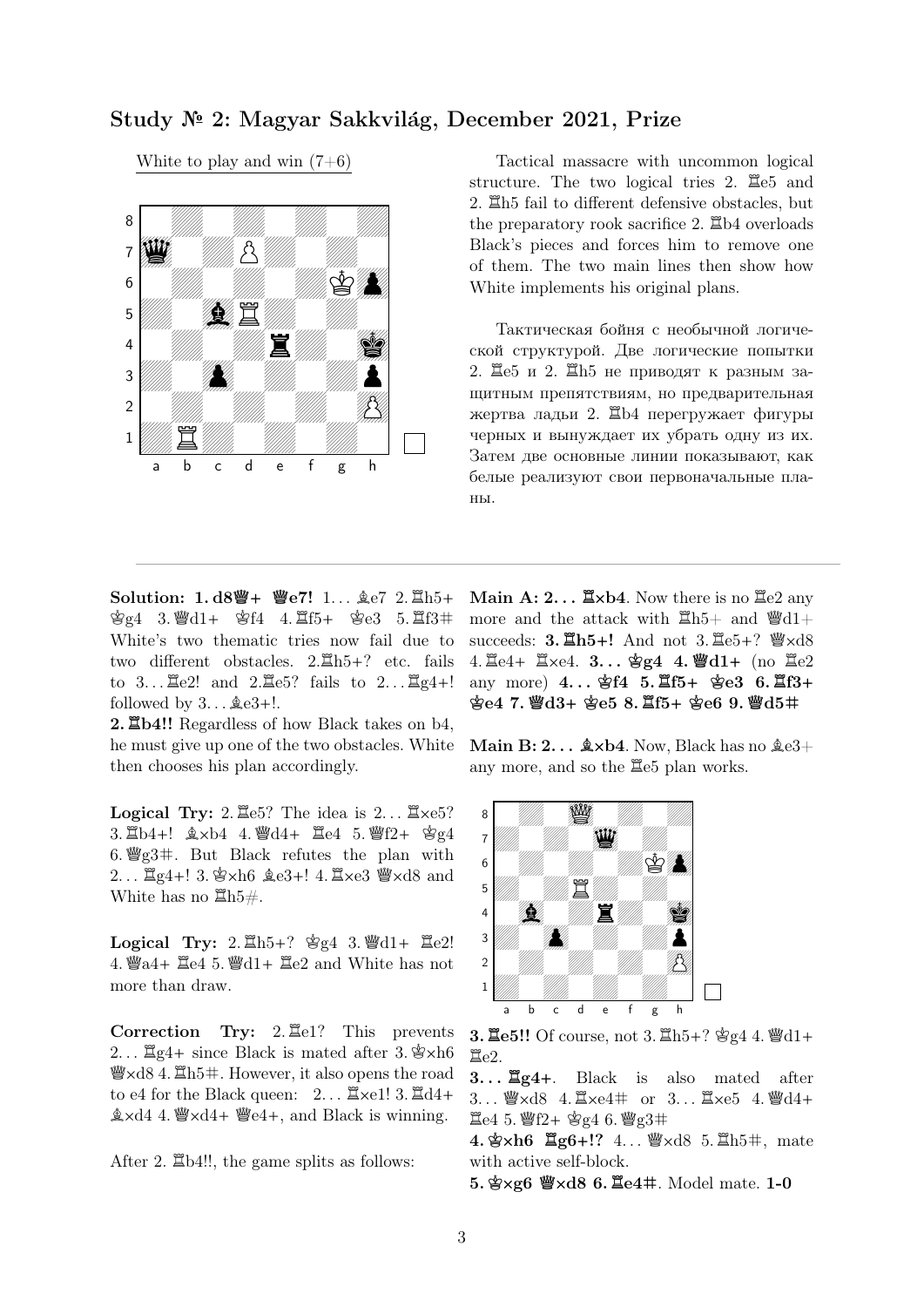## Study № 2: Magyar Sakkvilág, December 2021, Prize

White to play and win  $(7+6)$ 



Tactical massacre with uncommon logical structure. The two logical tries 2.  $\Xi$ e5 and 2.  $\Xi$ h5 fail to different defensive obstacles, but the preparatory rook sacrifice 2.  $\Xi$ b4 overloads Black's pieces and forces him to remove one of them. The two main lines then show how White implements his original plans.

Тактическая бойня с необычной логической структурой. Две логические попытки 2. Де5 и 2. Де5 не приводят к разным защитным препятствиям, но предварительная жертва ладьи 2. Rb4 перегружает фигуры черных и вынуждает их убрать одну из их. Затем две основные линии показывают, как белые реализуют свои первоначальные планы.

Solution: 1.d8響+ 響e7! 1... 鱼e7 2. Eh5+  $\frac{1}{2}g^4$  3.  $\frac{10}{2}d^4$  +  $\frac{10}{2}f^4$  4.  $\frac{10}{2}f^5$  +  $\frac{10}{2}e^3$  5.  $\frac{10}{2}f^3$  # White's two thematic tries now fail due to two different obstacles.  $2.\overline{\mathbb{Z}}h5+?$  etc. fails to  $3...$   $2e2!$  and  $2.\overline{2}e5?$  fails to  $2...$   $2e4+!$ followed by  $3...$   $\&e3+!$ .

2. **Labdary** Regardless of how Black takes on b4, he must give up one of the two obstacles. White then chooses his plan accordingly.

Logical Try: 2.  $\mathbb{E}e5$ ? The idea is 2...  $\mathbb{E}xe5$ ? 3.  $\Delta b4+!$   $\Delta x b4$  4.  $\Delta d4+$   $\Delta e4$  5.  $\Delta f2+$   $\Delta g4$ 6.  $\mathscr{G}_g3\#$ . But Black refutes the plan with  $2...$   $\Xi$ g4+! 3.  $\angle$ xh6  $\angle$ e3+! 4.  $\angle$ xe3  $\angle$  xd8 and White has no  $\mathbb{Z}\mathrm{h}5\#$ .

Logical Try:  $2.\overline{\Xi}h5+?$   $\mathscr{E}g4$  3.  $\mathscr{W}d1+ \overline{\Xi}e2!$ 4.  $\text{Q}a4+\text{Q}e4$  5.  $\text{Q}d1+\text{Q}e2$  and White has not more than draw.

**Correction Try:**  $2.\overline{\mathbb{E}}e1$ ? This prevents 2...  $\mathbb{Z}q4+$  since Black is mated after 3.  $\mathbb{Z}\times h6$  $\mathcal{Q}\times\mathrm{d}84$ .  $\mathbb{Z}\text{h}5\text{+}1$ . However, it also opens the road to e4 for the Black queen:  $2...$   $\mathbb{Z} \times 1!$  3.  $\mathbb{Z} \cdot 4+$  $\& \times d4$  4.  $\& \times d4 + \& \times e4 +$ , and Black is winning.

After 2.  $\Xi$ b4!!, the game splits as follows:

Main  $\mathbf{A: 2... }\mathbb{Z} \times \mathbf{b4}$ . Now there is no  $\mathbb{Z} \in \mathbb{2}$  any more and the attack with  $\mathbb{E}h5+$  and  $\mathbb{Q}d1+$ succeeds: **3.**  $\mathbb{E}h5+!$  And not 3.  $\mathbb{E}e5+?$   $\mathbb{W}\times d8$  $4. \ \mathbb{E}e4+ \ \mathbb{E}xe4. \ \mathbf{3...} \ \mathbf{gg4} \ \mathbf{4.} \ \mathbf{Wd1+} \ \text{(no } \ \mathbb{E}e2$ any more) 4... \$f4 5. <u>且f5+</u> \$e3 6. 且f3+  $\frac{1}{2}$ e4 7.  $\frac{10}{2}$ d3+  $\frac{10}{2}$ e5 8.  $\frac{10}{2}$ f5+  $\frac{10}{2}$ e6 9.  $\frac{10}{2}$ d5#

Main B:  $2...$   $\&$  xb4. Now, Black has no  $\&e3+$ any more, and so the  $\Xi$ e5 plan works.



**3. 里e5!!** Of course, not 3.  $\Xi$ h5+? 曾g4 4.  $\mathcal{Q}d1+$  $Ee2.$ 

3. . . **R**g4**+**. Black is also mated after  $3...$  @xd8 4.  $\mathbb{Z} \times 4 \#$  or  $3...$   $\mathbb{Z} \times 65$  4. @d4+  $E_4$  5.  $P_4$  f2+  $S_2$  6.  $P_3$  g3#

 $4. \&$  ×h6  $\Xi$ g6+!?  $4... \&$  ×d8 5.  $\Xi$ h5#, mate with active self-block.

5. 宫×g6 曾×d8 6. 里e4#. Model mate. 1-0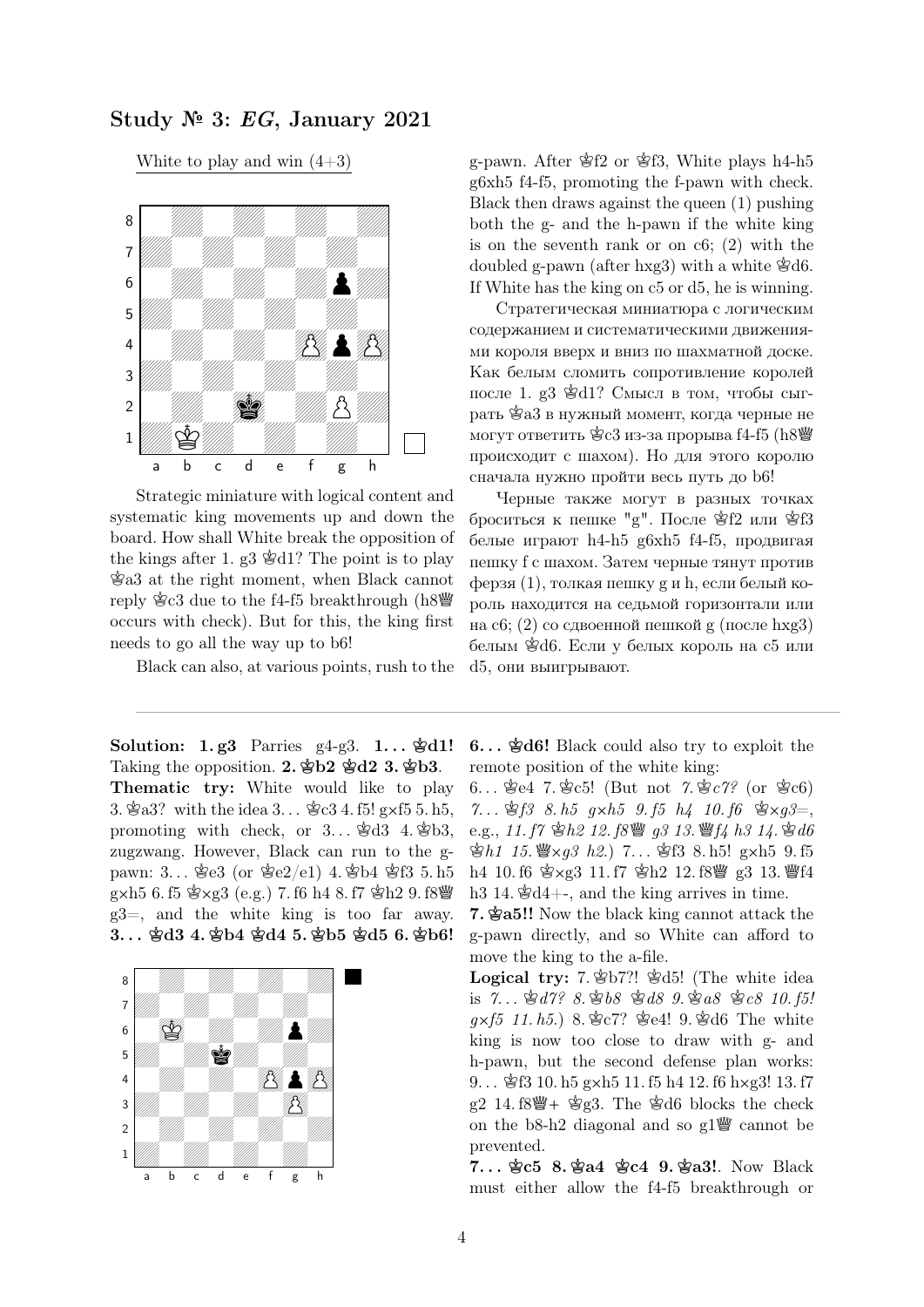Study № 3: EG, January 2021

White to play and win  $(4+3)$ 



Strategic miniature with logical content and systematic king movements up and down the board. How shall White break the opposition of the kings after 1. g3  $\&$ d1? The point is to play  $\mathcal{L}$ a3 at the right moment, when Black cannot reply  $\&c3$  due to the f4-f5 breakthrough (h8 $\&$ occurs with check). But for this, the king first needs to go all the way up to b6!

Black can also, at various points, rush to the

Solution: 1.g3 Parries g4-g3. 1...  $\mathcal{B}d1!$ Taking the opposition. 2.  $\mathbf{\hat{\Phi}}b2 \mathbf{\hat{\Phi}}d2 3$ .  $\mathbf{\hat{\Phi}}b3$ . Thematic try: White would like to play 3.  $\&$ a3? with the idea 3...  $\&$ c3 4. f5! g×f5 5. h5, promoting with check, or  $3...$  \$d3 4. \$b3, zugzwang. However, Black can run to the gpawn: 3...  $\S 63$  (or  $\S e 2/e1$ ) 4.  $S b4$   $\S 63$  5. h5  $g \times h5$  6. f5  $g \times g3$  (e.g.) 7. f6 h4 8. f7  $g h2$  9. f8 $g$ g3=, and the white king is too far away. 3. . . **K**d3 4. **K**b4 **K**d4 5. **K**b5 **K**d5 6. **K**b6!



g-pawn. After  $\mathcal{L}f2$  or  $\mathcal{L}f3$ , White plays h4-h5 g6xh5 f4-f5, promoting the f-pawn with check. Black then draws against the queen (1) pushing both the g- and the h-pawn if the white king is on the seventh rank or on c6; (2) with the doubled g-pawn (after hxg3) with a white  $\mathcal{L}$ d6. If White has the king on c5 or d5, he is winning.

Стратегическая миниатюра с логическим содержанием и систематическими движениями короля вверх и вниз по шахматной доске. Как белым сломить сопротивление королей после 1. g3  $\&$ d1? Смысл в том, чтобы сыграть  $\mathscr{E}a3$  в нужный момент, когда черные не могут ответить  $\angle$ с3 из-за прорыва f4-f5 (h $8\angle$ ) происходит с шахом). Но для этого королю сначала нужно пройти весь путь до b6!

Черные также могут в разных точках броситься к пешке "g". После  $\hat{\otimes}f2$  или  $\hat{\otimes}f3$ белые играют h4-h5 g6xh5 f4-f5, продвигая пешку f с шахом. Затем черные тянут против ферзя (1), толкая пешку g и h, если белый король находится на седьмой горизонтали или на c6; (2) со сдвоенной пешкой g (после hxg3) белым  $\&$ d6. Если у белых король на с5 или d5, они выигрывают.

6. . . **K**d6! Black could also try to exploit the remote position of the white king:

6...  $\text{\&e4}$  7.  $\text{\&e5!}$  (But not 7.  $\text{\&e7?}$  (or  $\text{\&e6}$ ) 7...  $\hat{\mathfrak{B}}$  f3 8. h5 g x h5 9. f5 h4 10. f6  $\hat{\mathfrak{B}} \times q3 =$ , e.g., 11. f7  $\Phi h2$  12. f8 $\mathcal{Q}$  q3 13.  $\mathcal{Q}$ f4 h3 14.  $\Phi d6$ 會h1 15.  $\mathscr{L} \times g3$  h2.) 7... \$f3 8. h5! g×h5 9. f5 h4 10. f6  $\&$  xg3 11. f7  $\&$  h2 12. f8 $\&$  g3 13.  $\&$  f4 h3 14.  $\&$ d4+-, and the king arrives in time.

7. **K**a5!! Now the black king cannot attack the g-pawn directly, and so White can afford to move the king to the a-file.

Logical try: 7.  $\&b$  b7?!  $\&d$  5! (The white idea is 7...  $\mathcal{L} d7$ ? 8.  $\mathcal{L} b8 \mathcal{L} 8 9$ .  $\mathcal{L} a8 \mathcal{L} 8 10$ . f5!  $q \times f5$  11. h5.) 8.  $C^2$ ?  $C^2$   $C^2$   $C^2$   $C^2$   $D^2$   $D^2$   $D^2$   $D^2$   $D^2$   $D^2$ king is now too close to draw with g- and h-pawn, but the second defense plan works: 9...  $\frac{1}{2}$ f3 10. h5 gxh5 11. f5 h4 12. f6 hxg3! 13. f7  $g2$  14. f8 $\ddot{\mathscr{C}}$  +  $\dot{\mathscr{C}}$  g3. The  $\dot{\mathscr{C}}$ d6 blocks the check on the b8-h2 diagonal and so  $g1\ddot{g}$  cannot be prevented.

7. . . **K**c5 8. **K**a4 **K**c4 9. **K**a3!. Now Black must either allow the f4-f5 breakthrough or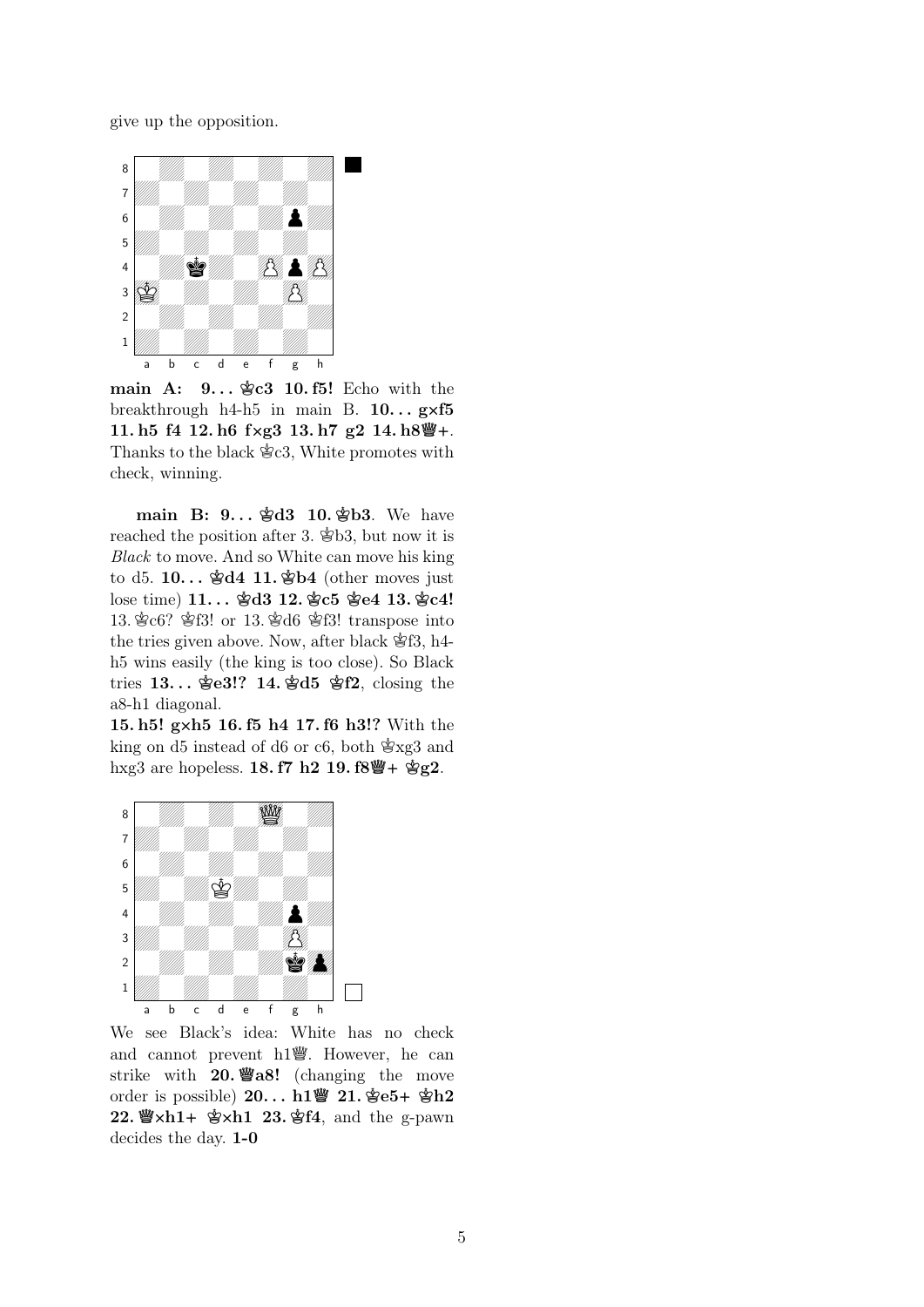give up the opposition.



main A:  $9...$   $C3$  10. f5! Echo with the breakthrough  $h4-h5$  in main B.  $10...$  gxf5 11. h5 f4 12. h6 f**X**g3 13. h7 g2 14. h8**Q+**. Thanks to the black  $\mathcal{E}c3$ , White promotes with check, winning.

main B: 9...  $\frac{1}{2}d3$  10.  $\frac{1}{2}b3$ . We have reached the position after 3.  $\mathcal{L}$ b3, but now it is Black to move. And so White can move his king to d5.  $10...$   $\&$ d4 11.  $\&$ b4 (other moves just lose time) 11... **\$d3 12. \$c5 \$e4 13. \$c4!** 13.  $\text{\&}$ c6?  $\text{\&}$ f3! or 13.  $\text{\&}$ d6  $\text{\&}$ f3! transpose into the tries given above. Now, after black  $\mathcal{L}f3$ , h4h5 wins easily (the king is too close). So Black tries 13... **\$e3!?** 14. **\$d5 \$f2**, closing the a8-h1 diagonal.

15. h5! g**X**h5 16. f5 h4 17. f6 h3!? With the king on d5 instead of d6 or c6, both  $\mathcal{L}$ xg3 and hxg3 are hopeless. **18. f7 h2 19. f8** | 全g2.



We see Black's idea: White has no check and cannot prevent  $h1$ <sup>w</sup>. However, he can strike with **20. 響a8!** (changing the move order is possible) 20... h1響 21.  $e^+e^+$  \$h2 22. *Yu*×h1+ 含xh1 23. 含f4, and the g-pawn decides the day. 1-0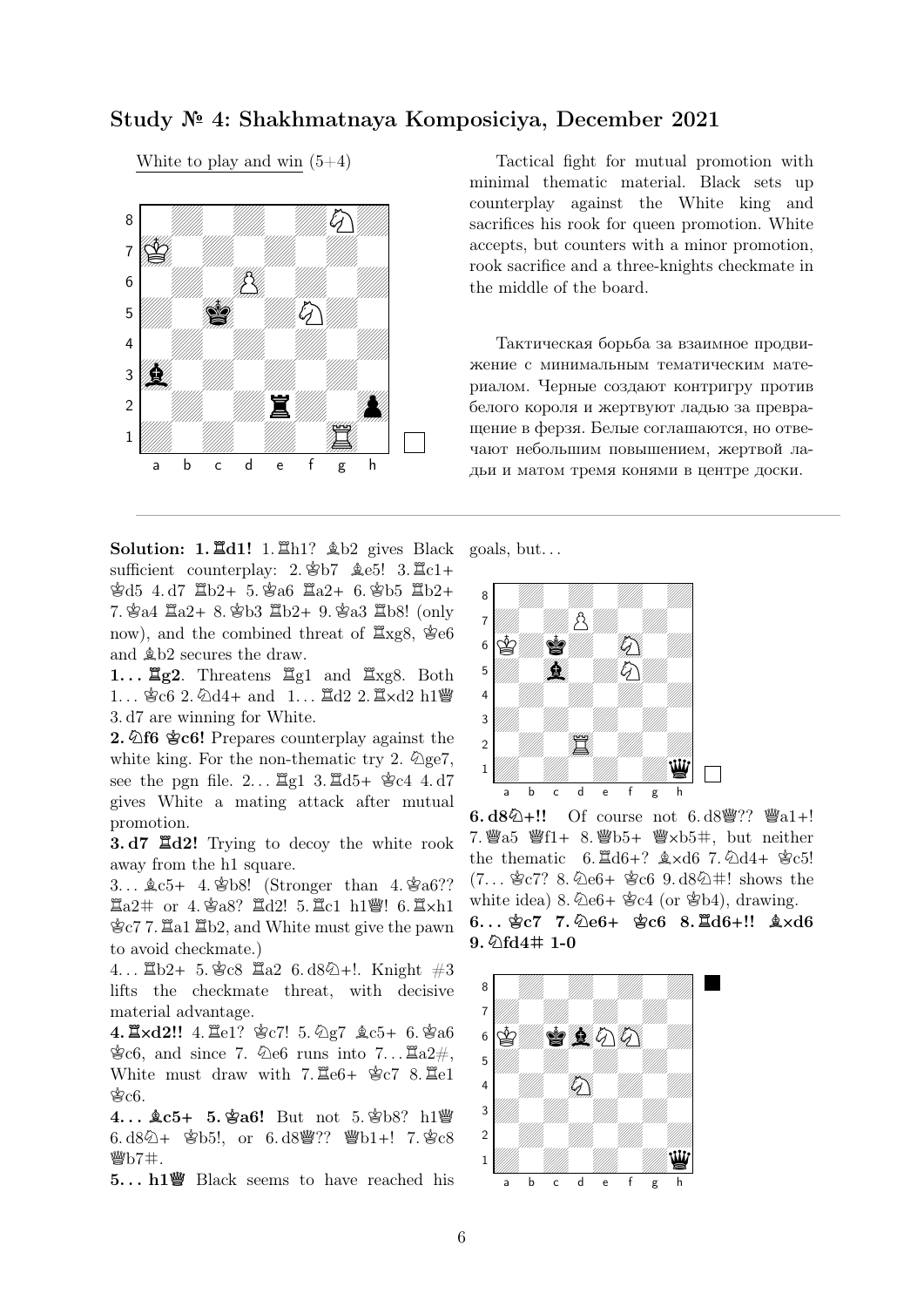# Study № 4: Shakhmatnaya Komposiciya, December 2021

White to play and win  $(5+4)$ 



Tactical fight for mutual promotion with minimal thematic material. Black sets up counterplay against the White king and sacrifices his rook for queen promotion. White accepts, but counters with a minor promotion, rook sacrifice and a three-knights checkmate in the middle of the board.

Тактическая борьба за взаимное продвижение с минимальным тематическим материалом. Черные создают контригру против белого короля и жертвуют ладью за превращение в ферзя. Белые соглашаются, но отвечают небольшим повышением, жертвой ладьи и матом тремя конями в центре доски.

**Solution: 1.**  $\mathbb{Z}d1!$  **1.**  $\mathbb{Z}h1?$  $\&b2$  **gives Black** sufficient counterplay:  $2.\&b7 \&c5! \quad 3.\&c1+$  $\text{\&d}5$  4. d7  $\text{\&b}2+5. \text{\&b}36$   $\text{\&a}2+6. \text{\&b}5$   $\text{\&b}2+$ 7.  $\bullet$ a4  $\Xi$ a2+ 8.  $\bullet$ b3  $\Xi$ b2+ 9.  $\bullet$ a3  $\Xi$ b8! (only now), and the combined threat of  $\mathbb{Z}$ xg8,  $\mathbb{E}$ e6 and  $\&$  b2 secures the draw.

1...  $\mathbb{Z}$ g2. Threatens  $\mathbb{Z}$ g1 and  $\mathbb{Z}$ xg8. Both  $1...$   $3c6$  2.  $\text{\&} \text{d}4+$  and  $1...$   $3d2$  2.  $3 \times d2$  h1 $\text{W}$ 3. d7 are winning for White.

2. **Qf6 \$c6!** Prepares counterplay against the white king. For the non-thematic try 2.  $\mathcal{Q}_{ge7}$ , see the pgn file.  $2...$   $\mathbb{Z}$ g1 3.  $\mathbb{Z}$ d5+  $\mathbb{Z}$ c4 4. d7 gives White a mating attack after mutual promotion.

3. d7 **R**d2! Trying to decoy the white rook away from the h1 square.

3...  $\&c5+4.$   $\&b8!$  (Stronger than 4.  $\&a6?$ ?  $\Xi$ a2# or 4.  $\mathscr{B}$ a8?  $\Xi$ d2! 5.  $\Xi$ c1 h1 $\mathscr{C}$ ! 6.  $\Xi$ ×h1  $\&c7$  7.  $\&a1 \& b2$ , and White must give the pawn to avoid checkmate.)

4...  $\mathbb{Z}b2+ 5. \$   $c8 \quad \mathbb{Z}a2 \quad 6. d8\$  +!. Knight  $\#3$ lifts the checkmate threat, with decisive material advantage.

 $4. \angle 42!!$  4.  $\angle 4e1?$  \$c7! 5.  $\angle 2e7$   $\angle 6e5+$  6. \$a6  $\mathcal{E}c6$ , and since 7.  $\mathcal{E}e6$  runs into 7...  $\mathbb{E}a2\#$ . White must draw with  $7.\overline{\mathbb{E}}e6+\overset{\circ}{\$c7}\overline{8}.\overline{\mathbb{E}}e1$  $\&$ c6.

4...  $\&c5+5.$  \$a6! But not 5. \$b8? h1彎 6. d8 $\textcircled{2+}$  \$b5!, or 6. d8 $\textcircled{3}$ ??  $\textcircled{4}$ b1+! 7. \$c8  $\mathcal{W}b7\#$ .

5. . . h1**Q** Black seems to have reached his

goals, but. . .



6. d8<sup>Q</sup>+!! Of course not 6. d8彎?? 彎a1+! 7. 響 $a5 \cong f1 + 8.$  響 $b5 + \cong xb5$ #, but neither the thematic 6.  $\angle 646 + ? \angle 467$ .  $\angle 44 + \angle 625!$  $(7...$   $\&c7$ ? 8.  $\&c6 + \&c6$  9. d8 $\&\&\&\text{shows the}$ white idea) 8.  $\&$ e6+  $\&$ c4 (or  $\&$ b4), drawing.  $6...$  $6c7$   $7.\overline{2}66+$   $6c6$   $8.\overline{2}66+$ !!  $\& \times d6$ 9. **N**fd4**m** 1-0

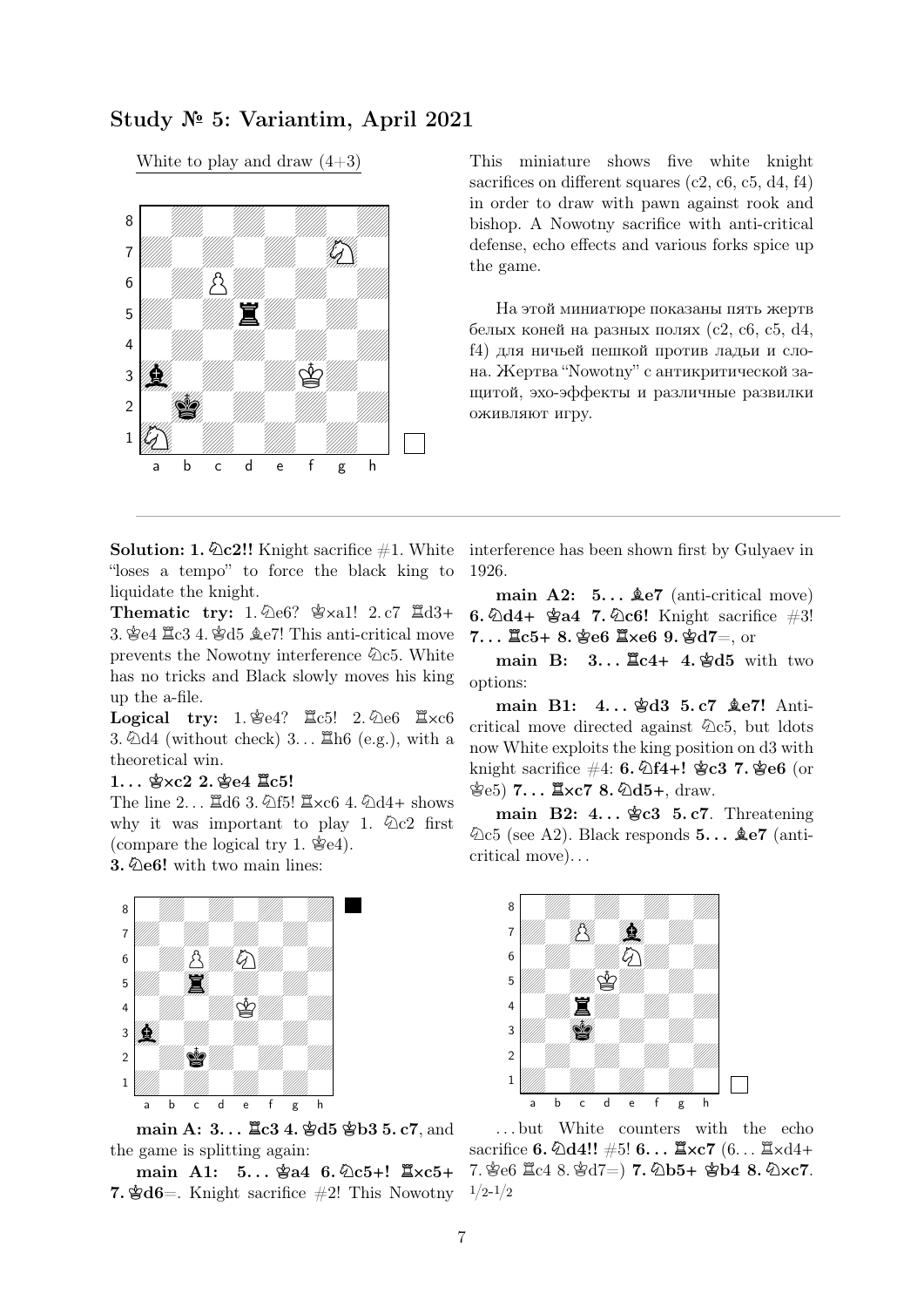# Study № 5: Variantim, April 2021

White to play and draw  $(4+3)$ 



This miniature shows five white knight sacrifices on different squares (c2, c6, c5, d4, f4) in order to draw with pawn against rook and bishop. A Nowotny sacrifice with anti-critical defense, echo effects and various forks spice up the game.

На этой миниатюре показаны пять жертв белых коней на разных полях (c2, c6, c5, d4, f4) для ничьей пешкой против ладьи и слона. Жертва "Nowotny" с антикритической защитой, эхо-эффекты и различные развилки оживляют игру.

"loses a tempo" to force the black king to liquidate the knight.

Thematic try: 1.  $\text{det}$ ?  $\text{d}$  xal! 2. c7  $\text{d}$ d3+ 3.  $\text{\&e4} \ \mathbb{Z} \text{c3}$  4.  $\text{\&d5} \ \mathbb{Z} \text{e7}!$  This anti-critical move prevents the Nowotny interference  $\&c5$ . White has no tricks and Black slowly moves his king up the a-file.

Logical try: 1.  $\text{\&e4?}$   $\mathbb{Z}$ c5! 2.  $\text{\&e6}$   $\mathbb{Z}$ xc6 3.  $\Delta d4$  (without check) 3...  $\Xi$ h6 (e.g.), with a theoretical win.

#### $1.$ ..  $\&\times$   $2.$   $\&\times$   $64$   $\&\times$   $65!$

The line  $2...$   $\Xi$ d6 3.  $\angle$ f5!  $\Xi$ xc6 4.  $\angle$ d4+ shows why it was important to play 1.  $\&c2$  first (compare the logical try 1.  $\mathcal{E}$ e4).

3. **N**e6! with two main lines:



main A: 3... <u>I</u>c3 4.  $\frac{4}{3}$ d5  $\frac{4}{3}$ b3 5. c7, and the game is splitting again:

 $\text{main}$  A1:  $5...$   $\text{\textless}$  6.  $\text{\textless}$  6.  $\text{\textless}$  6.  $\text{\textless}$   $\text{\textless}$   $\text{\textless}$   $\text{\textless}$   $\text{\textless}$   $\text{\textless}$   $\text{\textless}$   $\text{\textless}$   $\text{\textless}$   $\text{\textless}$   $\text{\textless}$   $\text{\textless}$   $\text{\textless}$   $\text{\textless}$   $\text{\textless}$   $\text{\textless}$   $\text{\textless}$   $\text{\textless}$   $\text{\textless$ **7.**  $\mathbf{\hat{\mathscr{B}}} d\mathbf{6} =$ . Knight sacrifice  $\#2!$  This Nowotny

Solution: 1.  $\&c2!!$  Knight sacrifice #1. White interference has been shown first by Gulyaev in 1926.

> main  $A2: 5... \& 87$  (anti-critical move) 6.  $\Delta d4$ +  $\Delta d4$  7.  $\Delta c6$ ! Knight sacrifice  $\#3!$ 7. . . **R**c5**+** 8. **K**e6 **RX**e6 9. **K**d7=, or

> main B: 3... <u> $\mathbb{E}c4+4$ . 曾d5</u> with two options:

> main B1: 4...  $\angle 4d3$  5.c7  $\angle 4e7!$  Anticritical move directed against  $\&c5$ , but ldots now White exploits the king position on d3 with knight sacrifice #4: 6. **N**f4**+**! **K**c3 7. **K**e6 (or 含e5) 7...  $\mathbb{Z} \times C7$  8.  $\mathbb{Q}d5+$ , draw.

> main B2:  $4...$   $\&c3$  5. c7. Threatening  $\&c5$  (see A2). Black responds  $5...$   $\&e7$  (anticritical move). . .



. . . but White counters with the echo  $\text{sacrifice } 6. \ \text{\text{\textsterling}d4!}: 45! \ 6... \ \text{\textsterling} \times c7 \ (6... \ \text{\textsterling} \times d4+$ 7. Ke6 Rc4 8. Kd7=) 7. **N**b5**+ K**b4 8. **NX**c7.  $1/2 - 1/2$